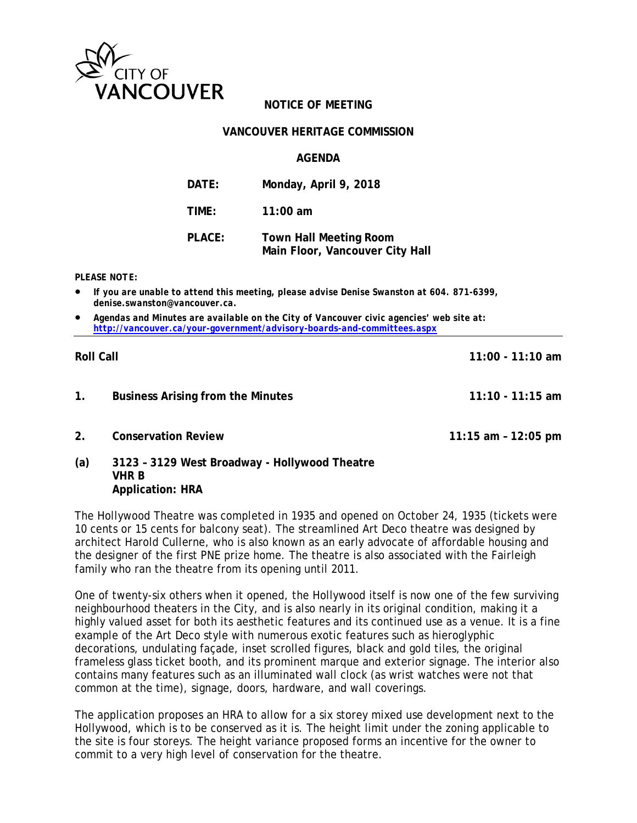

# **NOTICE OF MEETING**

## **VANCOUVER HERITAGE COMMISSION**

## **AGENDA**

| DATE:  | Monday, April 9, 2018                                            |
|--------|------------------------------------------------------------------|
| TIME:  | 11:00 $am$                                                       |
| PLACE: | <b>Town Hall Meeting Room</b><br>Main Floor, Vancouver City Hall |

#### *PLEASE NOTE:*

**Application: HRA**

- *If you are unable to attend this meeting, please advise Denise Swanston at 604. 871-6399, denise.swanston@vancouver.ca.*
- *Agendas and Minutes are available on the City of Vancouver civic agencies' web site at: <http://vancouver.ca/your-government/advisory-boards-and-committees.aspx>*

| <b>Roll Call</b> |                                                        | $11:00 - 11:10$ am  |
|------------------|--------------------------------------------------------|---------------------|
| $\mathbf{1}$ .   | <b>Business Arising from the Minutes</b>               | $11:10 - 11:15$ am  |
| 2 <sub>1</sub>   | <b>Conservation Review</b>                             | 11:15 am - 12:05 pm |
| (a)              | 3123 - 3129 West Broadway - Hollywood Theatre<br>VHR B |                     |

The Hollywood Theatre was completed in 1935 and opened on October 24, 1935 (tickets were 10 cents or 15 cents for balcony seat). The streamlined Art Deco theatre was designed by architect Harold Cullerne, who is also known as an early advocate of affordable housing and the designer of the first PNE prize home. The theatre is also associated with the Fairleigh family who ran the theatre from its opening until 2011.

One of twenty-six others when it opened, the Hollywood itself is now one of the few surviving neighbourhood theaters in the City, and is also nearly in its original condition, making it a highly valued asset for both its aesthetic features and its continued use as a venue. It is a fine example of the Art Deco style with numerous exotic features such as hieroglyphic decorations, undulating façade, inset scrolled figures, black and gold tiles, the original frameless glass ticket booth, and its prominent marque and exterior signage. The interior also contains many features such as an illuminated wall clock (as wrist watches were not that common at the time), signage, doors, hardware, and wall coverings.

The application proposes an HRA to allow for a six storey mixed use development next to the Hollywood, which is to be conserved as it is. The height limit under the zoning applicable to the site is four storeys. The height variance proposed forms an incentive for the owner to commit to a very high level of conservation for the theatre.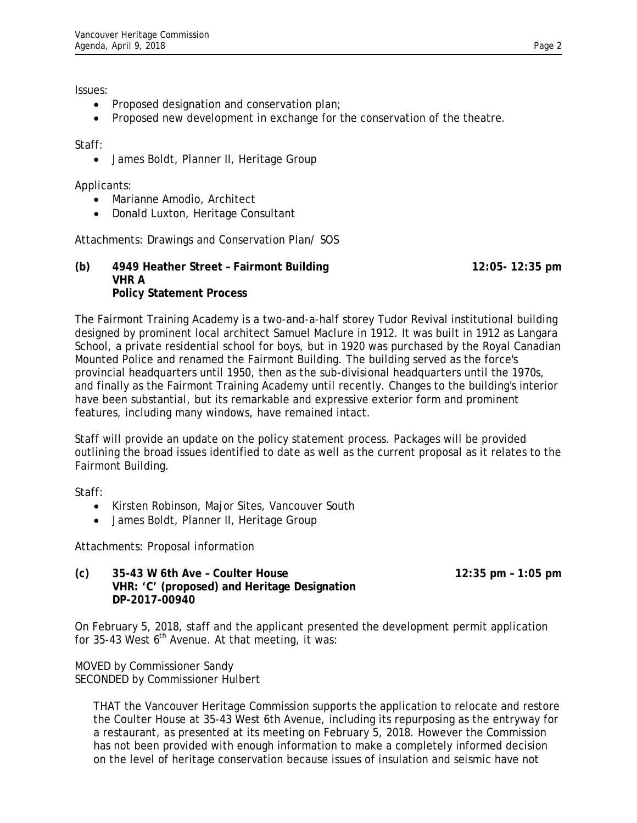Issues:

- Proposed designation and conservation plan;
- Proposed new development in exchange for the conservation of the theatre.

Staff:

• James Boldt, Planner II, Heritage Group

Applicants:

- Marianne Amodio, Architect
- Donald Luxton, Heritage Consultant

Attachments: Drawings and Conservation Plan/ SOS

## **(b) 4949 Heather Street – Fairmont Building 12:05- 12:35 pm VHR A Policy Statement Process**

The Fairmont Training Academy is a two-and-a-half storey Tudor Revival institutional building designed by prominent local architect Samuel Maclure in 1912. It was built in 1912 as Langara School, a private residential school for boys, but in 1920 was purchased by the Royal Canadian Mounted Police and renamed the Fairmont Building. The building served as the force's provincial headquarters until 1950, then as the sub-divisional headquarters until the 1970s, and finally as the Fairmont Training Academy until recently. Changes to the building's interior have been substantial, but its remarkable and expressive exterior form and prominent features, including many windows, have remained intact.

Staff will provide an update on the policy statement process. Packages will be provided outlining the broad issues identified to date as well as the current proposal as it relates to the Fairmont Building.

Staff:

- Kirsten Robinson, Major Sites, Vancouver South
- James Boldt, Planner II, Heritage Group

Attachments: Proposal information

**(c) 35-43 W 6th Ave – Coulter House 12:35 pm – 1:05 pm VHR: 'C' (proposed) and Heritage Designation DP-2017-00940**

On February 5, 2018, staff and the applicant presented the development permit application for 35-43 West  $6<sup>th</sup>$  Avenue. At that meeting, it was:

MOVED by Commissioner Sandy SECONDED by Commissioner Hulbert

> THAT the Vancouver Heritage Commission supports the application to relocate and restore the Coulter House at 35-43 West 6th Avenue, including its repurposing as the entryway for a restaurant, as presented at its meeting on February 5, 2018. However the Commission has not been provided with enough information to make a completely informed decision on the level of heritage conservation because issues of insulation and seismic have not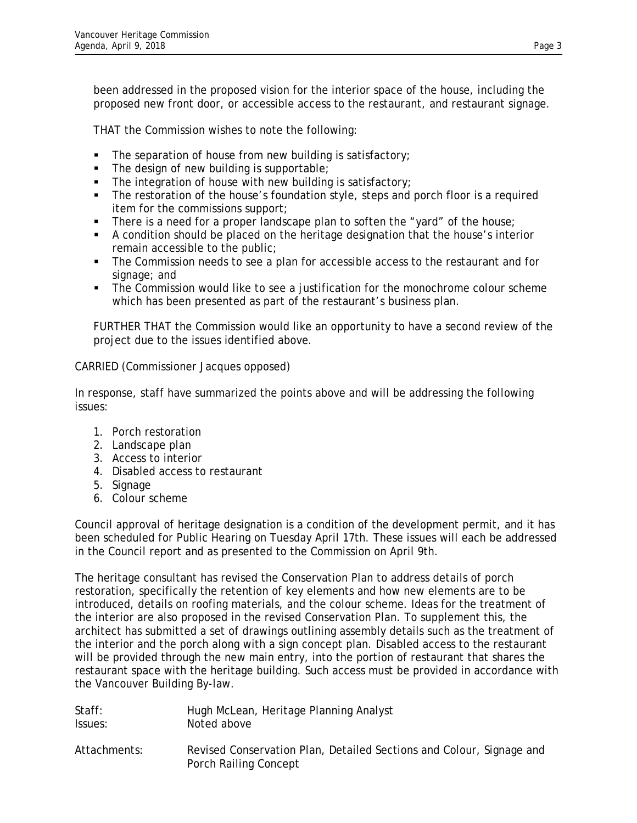been addressed in the proposed vision for the interior space of the house, including the proposed new front door, or accessible access to the restaurant, and restaurant signage.

THAT the Commission wishes to note the following:

- $\blacksquare$  The separation of house from new building is satisfactory;
- $\blacksquare$  The design of new building is supportable;
- The integration of house with new building is satisfactory;
- The restoration of the house's foundation style, steps and porch floor is a required item for the commissions support;
- There is a need for a proper landscape plan to soften the "yard" of the house;
- A condition should be placed on the heritage designation that the house's interior remain accessible to the public;
- The Commission needs to see a plan for accessible access to the restaurant and for signage; and
- The Commission would like to see a justification for the monochrome colour scheme which has been presented as part of the restaurant's business plan.

FURTHER THAT the Commission would like an opportunity to have a second review of the project due to the issues identified above.

CARRIED (Commissioner Jacques opposed)

In response, staff have summarized the points above and will be addressing the following issues:

- 1. Porch restoration
- 2. Landscape plan
- 3. Access to interior
- 4. Disabled access to restaurant
- 5. Signage
- 6. Colour scheme

Council approval of heritage designation is a condition of the development permit, and it has been scheduled for Public Hearing on Tuesday April 17th. These issues will each be addressed in the Council report and as presented to the Commission on April 9th.

The heritage consultant has revised the Conservation Plan to address details of porch restoration, specifically the retention of key elements and how new elements are to be introduced, details on roofing materials, and the colour scheme. Ideas for the treatment of the interior are also proposed in the revised Conservation Plan. To supplement this, the architect has submitted a set of drawings outlining assembly details such as the treatment of the interior and the porch along with a sign concept plan. Disabled access to the restaurant will be provided through the new main entry, into the portion of restaurant that shares the restaurant space with the heritage building. Such access must be provided in accordance with the Vancouver Building By-law.

| Staff:       | Hugh McLean, Heritage Planning Analyst                                                        |
|--------------|-----------------------------------------------------------------------------------------------|
| Issues:      | Noted above                                                                                   |
| Attachments: | Revised Conservation Plan, Detailed Sections and Colour, Signage and<br>Porch Railing Concept |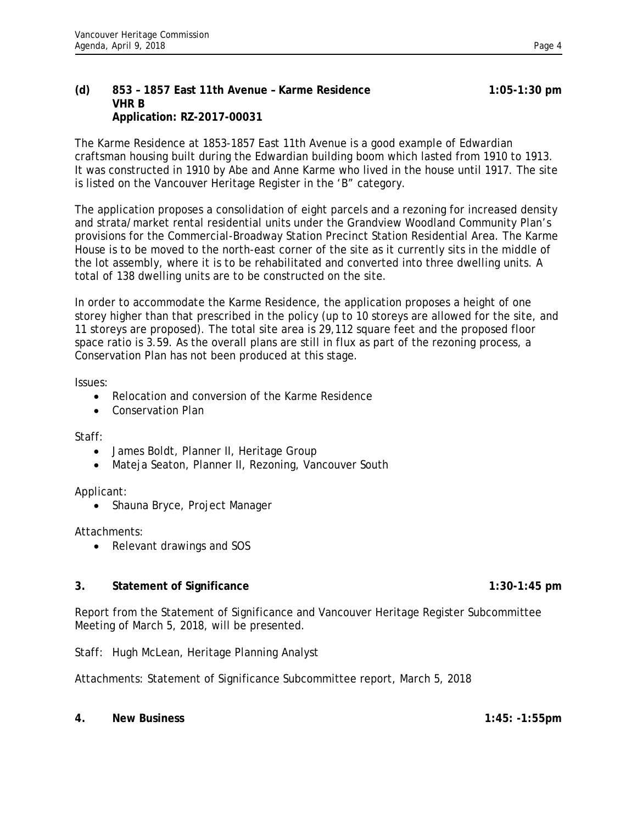The Karme Residence at 1853-1857 East 11th Avenue is a good example of Edwardian craftsman housing built during the Edwardian building boom which lasted from 1910 to 1913. It was constructed in 1910 by Abe and Anne Karme who lived in the house until 1917. The site is listed on the Vancouver Heritage Register in the 'B" category.

The application proposes a consolidation of eight parcels and a rezoning for increased density and strata/market rental residential units under the Grandview Woodland Community Plan's provisions for the Commercial-Broadway Station Precinct Station Residential Area. The Karme House is to be moved to the north-east corner of the site as it currently sits in the middle of the lot assembly, where it is to be rehabilitated and converted into three dwelling units. A total of 138 dwelling units are to be constructed on the site.

In order to accommodate the Karme Residence, the application proposes a height of one storey higher than that prescribed in the policy (up to 10 storeys are allowed for the site, and 11 storeys are proposed). The total site area is 29,112 square feet and the proposed floor space ratio is 3.59. As the overall plans are still in flux as part of the rezoning process, a Conservation Plan has not been produced at this stage.

Issues:

- Relocation and conversion of the Karme Residence
- Conservation Plan

Staff:

- James Boldt, Planner II, Heritage Group
- Mateja Seaton, Planner II, Rezoning, Vancouver South

Applicant:

• Shauna Bryce, Project Manager

Attachments:

• Relevant drawings and SOS

## **3. Statement of Significance 1:30-1:45 pm**

Report from the Statement of Significance and Vancouver Heritage Register Subcommittee Meeting of March 5, 2018, will be presented.

Staff: Hugh McLean, Heritage Planning Analyst

Attachments: Statement of Significance Subcommittee report, March 5, 2018

**4. New Business 1:45: -1:55pm**